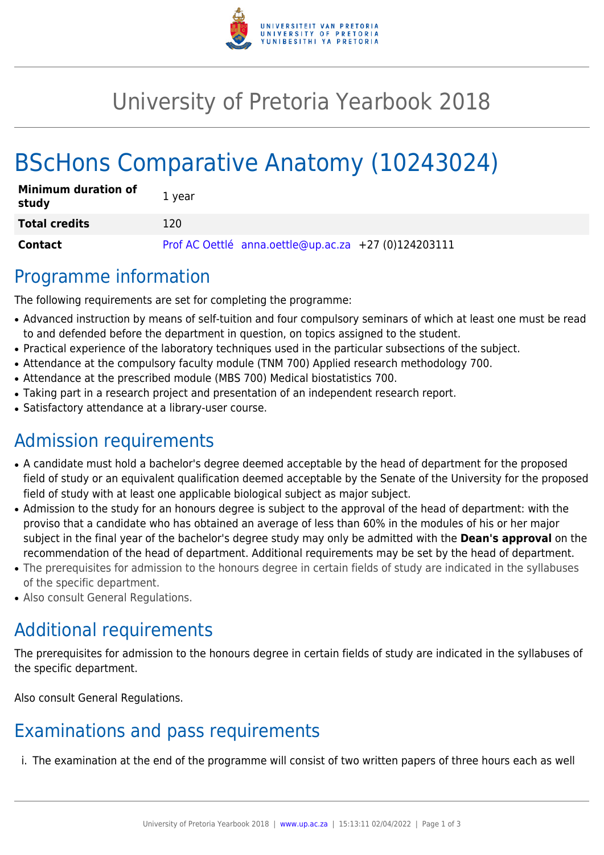

# University of Pretoria Yearbook 2018

# BScHons Comparative Anatomy (10243024)

| <b>Minimum duration of</b><br>study | 1 year                                               |
|-------------------------------------|------------------------------------------------------|
| <b>Total credits</b>                | 120                                                  |
| Contact                             | Prof AC Oettlé anna.oettle@up.ac.za +27 (0)124203111 |

### Programme information

The following requirements are set for completing the programme:

- Advanced instruction by means of self-tuition and four compulsory seminars of which at least one must be read to and defended before the department in question, on topics assigned to the student.
- Practical experience of the laboratory techniques used in the particular subsections of the subject.
- Attendance at the compulsory faculty module (TNM 700) Applied research methodology 700.
- Attendance at the prescribed module (MBS 700) Medical biostatistics 700.
- Taking part in a research project and presentation of an independent research report.
- Satisfactory attendance at a library-user course.

## Admission requirements

- A candidate must hold a bachelor's degree deemed acceptable by the head of department for the proposed field of study or an equivalent qualification deemed acceptable by the Senate of the University for the proposed field of study with at least one applicable biological subject as major subject.
- Admission to the study for an honours degree is subject to the approval of the head of department: with the proviso that a candidate who has obtained an average of less than 60% in the modules of his or her major subject in the final year of the bachelor's degree study may only be admitted with the **Dean's approval** on the recommendation of the head of department. Additional requirements may be set by the head of department.
- The prerequisites for admission to the honours degree in certain fields of study are indicated in the syllabuses of the specific department.
- Also consult General Regulations.

## Additional requirements

The prerequisites for admission to the honours degree in certain fields of study are indicated in the syllabuses of the specific department.

Also consult General Regulations.

### Examinations and pass requirements

i. The examination at the end of the programme will consist of two written papers of three hours each as well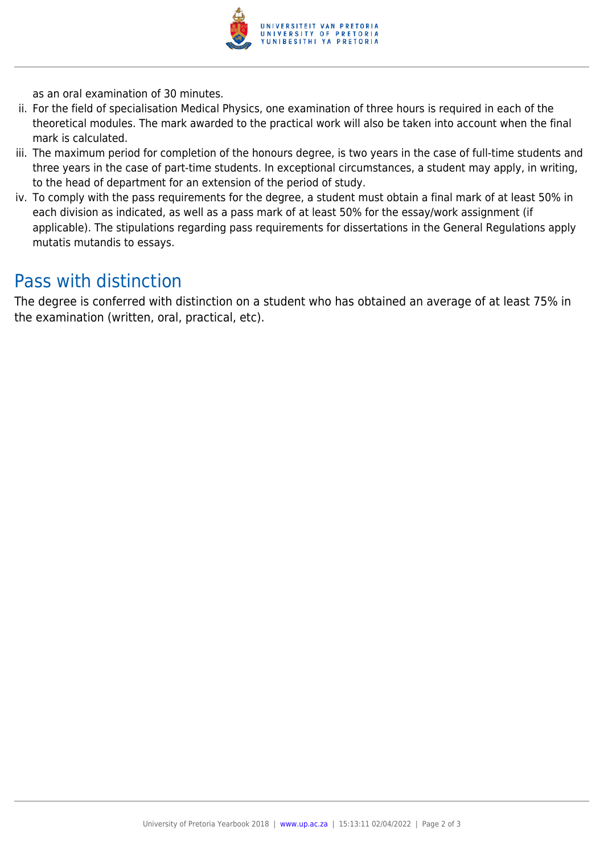

as an oral examination of 30 minutes.

- ii. For the field of specialisation Medical Physics, one examination of three hours is required in each of the theoretical modules. The mark awarded to the practical work will also be taken into account when the final mark is calculated.
- iii. The maximum period for completion of the honours degree, is two years in the case of full-time students and three years in the case of part-time students. In exceptional circumstances, a student may apply, in writing, to the head of department for an extension of the period of study.
- iv. To comply with the pass requirements for the degree, a student must obtain a final mark of at least 50% in each division as indicated, as well as a pass mark of at least 50% for the essay/work assignment (if applicable). The stipulations regarding pass requirements for dissertations in the General Regulations apply mutatis mutandis to essays.

#### Pass with distinction

The degree is conferred with distinction on a student who has obtained an average of at least 75% in the examination (written, oral, practical, etc).